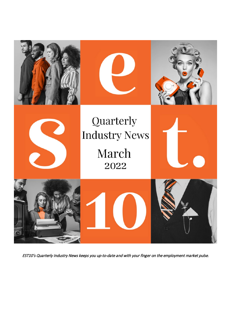

EST10's Quarterly Industry News keeps you up-to-date and with your finger on the employment market pulse.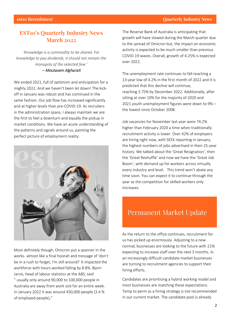#### **est10 Recruitment Quarterly Industry News Quarterly Industry News**

### **EST10's Quarterly Industry News March 2022**

*'Knowledge is a commodity to be shared. For knowledge to pay dividends, it should not remain the monopoly of the selected few.'* – Moutasem Algharati

We ended 2021, full of optimism and anticipation for a mighty 2022. And we haven't been let down! The kickoff in January was robust and has continued in the same fashion. Our job flow has increased significantly and at higher levels than pre-COVID-19. As recruiters in the administration space, I always maintain we are the first to feel a downturn and equally the pickup in market conditions. We have an acute understanding of the patterns and signals around us, painting the perfect picture of employment reality.



Most definitely though, Omicron put a spanner in the works- almost like a final hoorah and message of 'don't be in a rush to forget, I'm still around!' It impacted the workforce with hours worked falling by 8.8%. Bjorn Jarvis, head of labour statistics at the ABS, said " [usually only around 90,000 to 100,000 people in](https://www.afr.com/policy/economy/hours-worked-plummets-8-8pc-in-january-20220217-p59x8z)  [Australia are away from work sick for an entire week.](https://www.afr.com/policy/economy/hours-worked-plummets-8-8pc-in-january-20220217-p59x8z)  [In January 2022 it was around 450,000 people \(3.4 %](https://www.afr.com/policy/economy/hours-worked-plummets-8-8pc-in-january-20220217-p59x8z)  [of employed people\)](https://www.afr.com/policy/economy/hours-worked-plummets-8-8pc-in-january-20220217-p59x8z),"

The Reserve Bank of Australia is anticipating that growth will have slowed during the March quarter due to the spread of Omicron but, the impact on economic activity is expected to be much smaller than previous COVID-19 waves. Overall, growth of [4.25% is expected](https://www.rba.gov.au/publications/smp/2022/feb/economic-outlook.html)  [over 2022.](https://www.rba.gov.au/publications/smp/2022/feb/economic-outlook.html)

The unemployment rate continues to fall reaching a 13-year low of [4.2% in the first month of 2022](https://www.abs.gov.au/statistics/labour/employment-and-unemployment/labour-force-australia/latest-release) and it is predicted that this decline will continue, reaching [3.75% by December 2022.](https://www.rba.gov.au/publications/smp/2022/feb/economic-outlook.html) Additionally, after sitting at over 10% for the majority of 2020 and 2021 [youth unemployment figures were down to 9%](https://www.abs.gov.au/statistics/labour/employment-and-unemployment/labour-force-australia/latest-release) – the lowest since October 2008.

Job vacancies for November last year were [74.2%](https://www.abs.gov.au/statistics/labour/employment-and-unemployment/job-vacancies-australia/latest-release)  [higher than February 2020](https://www.abs.gov.au/statistics/labour/employment-and-unemployment/job-vacancies-australia/latest-release) a time when traditionally recruitment activity is lower. Over [42% of employers](https://lmip.gov.au/default.aspx?LMIP/GainInsights/EmployersRecruitmentInsights)  [are hiring right now,](https://lmip.gov.au/default.aspx?LMIP/GainInsights/EmployersRecruitmentInsights) with SEEK reporting in January, the highest numbers of jobs advertised in their 25-year history. We talked about the 'Great Resignation', then the 'Great Reshuffle' and now we have [the 'Great Job](https://www.afr.com/work-and-careers/careers/great-job-boom-low-unemployment-driving-record-low-job-applications-20220211-p59vs3)  [Boom', with demand up for workers across virtually](https://www.afr.com/work-and-careers/careers/great-job-boom-low-unemployment-driving-record-low-job-applications-20220211-p59vs3)  [every industry and level.](https://www.afr.com/work-and-careers/careers/great-job-boom-low-unemployment-driving-record-low-job-applications-20220211-p59vs3) This trend won't abate any time soon. You can expect it to continue through the year as the competition for skilled workers only increases.

# Permanent Market Update

As the return to the office continues, recruitment for us has picked up enormously. Adjusting to a new normal, businesses are looking to the future with [21%](https://lmip.gov.au/default.aspx?LMIP/GainInsights/EmployersRecruitmentInsights)  [expecting to increase staff](https://lmip.gov.au/default.aspx?LMIP/GainInsights/EmployersRecruitmentInsights) over the next 3 months. In an increasingly difficult candidate market businesses are turning to recruitment agencies to support their hiring efforts.

Candidates are prioritising a hybrid working model and most businesses are matching these expectations. Temp to perm as a hiring strategy is not recommended in our current market. The candidate pool is already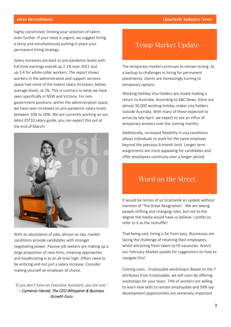### **est10 Recruitment Quarterly Industry News**

highly constricted, limiting your selection of talent even further. If your need is urgent, we suggest hiring a temp and simultaneously putting in place your permanent hiring strategy.

Salary increases are back to pre-pandemic levels with full-time earnings overall up [2.1% over 2021](https://www.abs.gov.au/media-centre/media-releases/average-full-time-earnings-21-cent-over-2021) and up [3.4 for white-collar workers.](https://www.afr.com/policy/economy/white-collar-salaries-surge-as-skills-shortages-hit-wages-20211117-p599ni) The report shows workers in the administrative and support services space had some of the lowest salary increases, belowaverage levels, at 2%. This is contrary to what we have seen specifically in NSW and Victoria. For nongovernment positions, within the administration space, we have seen increases on pre-pandemic salary levels between 10% to 20%. We are currently working on our latest EST10 salary guide, you can expect this out at the end of March!



With an abundance of jobs, almost on tap, market conditions provide candidates with stronger negotiating power. Passive job seekers are making up a large proportion of new hires, meaning approaches and headhunting is at an all-time high. Offers need to be enticing and not just a salary increase. Consider making yourself an employer of choice.

*'If you don't have an Executive Assistant, you are one.'* – Cameron Herold, The CEO Whisperer & Business Growth Guru

## **Temp Market Update**

The temporary market continues to remain strong. As a backup to challenges in hiring for permanent placements, clients are increasingly turning to temporary options.

Working Holiday Visa holders are slowly making a return to Australia. According to ABC News, there are almost [30,000 working holiday-maker visa holders](https://www.abc.net.au/news/rural/2022-02-12/farm-labour-shortage-unaffected-by-holiday-visa-surge/100822150?utm_campaign=abc_news_web&utm_content=link&utm_medium=content_shared&utm_source=abc_news_web)  [outside Australia.](https://www.abc.net.au/news/rural/2022-02-12/farm-labour-shortage-unaffected-by-holiday-visa-surge/100822150?utm_campaign=abc_news_web&utm_content=link&utm_medium=content_shared&utm_source=abc_news_web) With many of these expected to arrive by late April, we expect to see an influx of temporary workers over the coming months.

Additionally, increased flexibility in visa conditions allows individuals to work for the same employer beyond the previous 6-month limit. Longer-term assignments are more appealing for candidates and offer employees continuity over a longer period.

## Word on the Street

It would be remiss of us to provide an update without mention of 'The Great Resignation'. We are seeing people shifting and changing roles, but not to the degree the media would have us believe. I prefer to refer to it as the [reshuffle!](https://amp.theceomagazine.com/business/hr/great-resignation/)

That being said, hiring is far from easy. Businesses are facing the challenge of retaining their employees, whilst attracting fresh talent to fill vacancies. Watch our [February Market update](https://est10.com.au/news/february-2022-market-update/) for suggestions on how to navigate this!

Coming soon… Employable workshops! Based on the 7 attributes from [Employable,](https://www.booktopia.com.au/employable-roxanne-calder/book/9780648980421.html) we will soon be offering workshops for your team. [74% of workers are willing](https://www.lorman.com/blog/post/39-statistics-that-prove-the-value-of-employee-training)  [to learn new skills to remain employable and 59% say](https://www.lorman.com/blog/post/39-statistics-that-prove-the-value-of-employee-training)  [development opportunities are extremely important](https://www.lorman.com/blog/post/39-statistics-that-prove-the-value-of-employee-training)